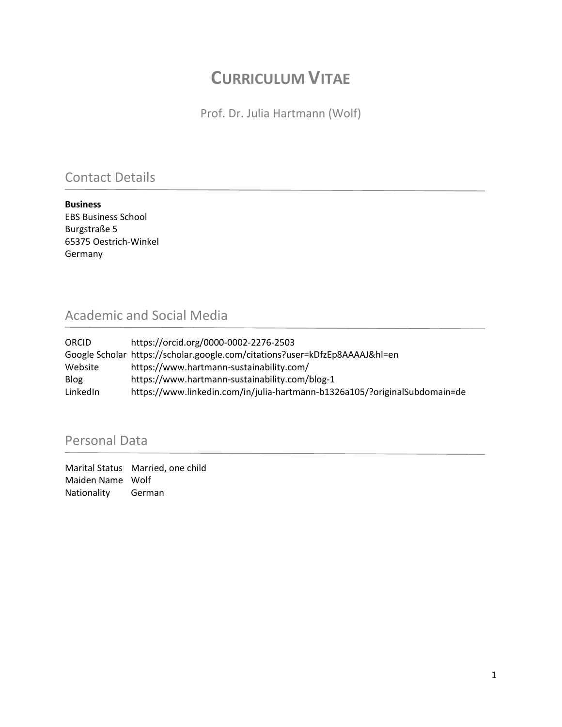## **CURRICULUM VITAE**

Prof. Dr. Julia Hartmann (Wolf)

### Contact Details

**Business**  EBS Business School Burgstraße 5 65375 Oestrich-Winkel Germany

### Academic and Social Media

| ORCID       | https://orcid.org/0000-0002-2276-2503                                       |
|-------------|-----------------------------------------------------------------------------|
|             | Google Scholar https://scholar.google.com/citations?user=kDfzEp8AAAAJ&hl=en |
| Website     | https://www.hartmann-sustainability.com/                                    |
| <b>Blog</b> | https://www.hartmann-sustainability.com/blog-1                              |
| LinkedIn    | https://www.linkedin.com/in/julia-hartmann-b1326a105/?originalSubdomain=de  |

### Personal Data

Marital Status Married, one child Maiden Name Wolf Nationality German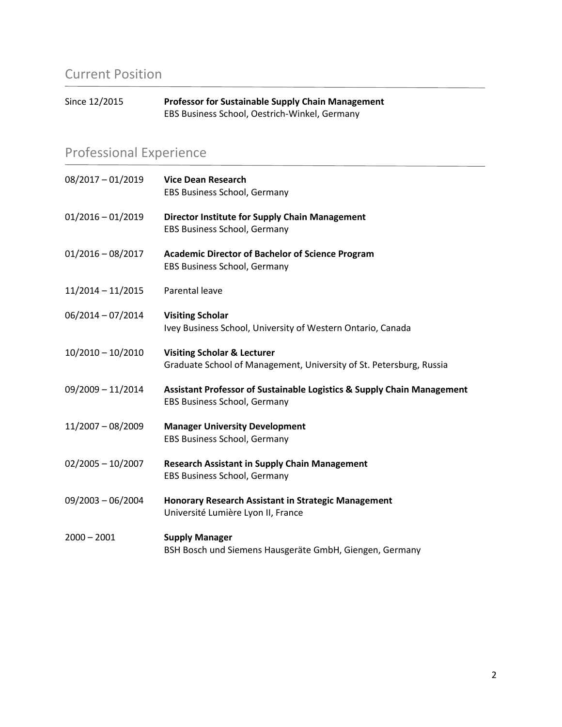## Current Position

| Since 12/2015 | <b>Professor for Sustainable Supply Chain Management</b> |
|---------------|----------------------------------------------------------|
|               | EBS Business School, Oestrich-Winkel, Germany            |

## Professional Experience

| $08/2017 - 01/2019$ | <b>Vice Dean Research</b><br>EBS Business School, Germany                                                     |
|---------------------|---------------------------------------------------------------------------------------------------------------|
| $01/2016 - 01/2019$ | Director Institute for Supply Chain Management<br>EBS Business School, Germany                                |
| $01/2016 - 08/2017$ | <b>Academic Director of Bachelor of Science Program</b><br>EBS Business School, Germany                       |
| $11/2014 - 11/2015$ | Parental leave                                                                                                |
| $06/2014 - 07/2014$ | <b>Visiting Scholar</b><br>Ivey Business School, University of Western Ontario, Canada                        |
| $10/2010 - 10/2010$ | <b>Visiting Scholar &amp; Lecturer</b><br>Graduate School of Management, University of St. Petersburg, Russia |
| 09/2009 - 11/2014   | Assistant Professor of Sustainable Logistics & Supply Chain Management<br>EBS Business School, Germany        |
| $11/2007 - 08/2009$ | <b>Manager University Development</b><br>EBS Business School, Germany                                         |
| $02/2005 - 10/2007$ | <b>Research Assistant in Supply Chain Management</b><br>EBS Business School, Germany                          |
| $09/2003 - 06/2004$ | Honorary Research Assistant in Strategic Management<br>Université Lumière Lyon II, France                     |
| $2000 - 2001$       | <b>Supply Manager</b><br>BSH Bosch und Siemens Hausgeräte GmbH, Giengen, Germany                              |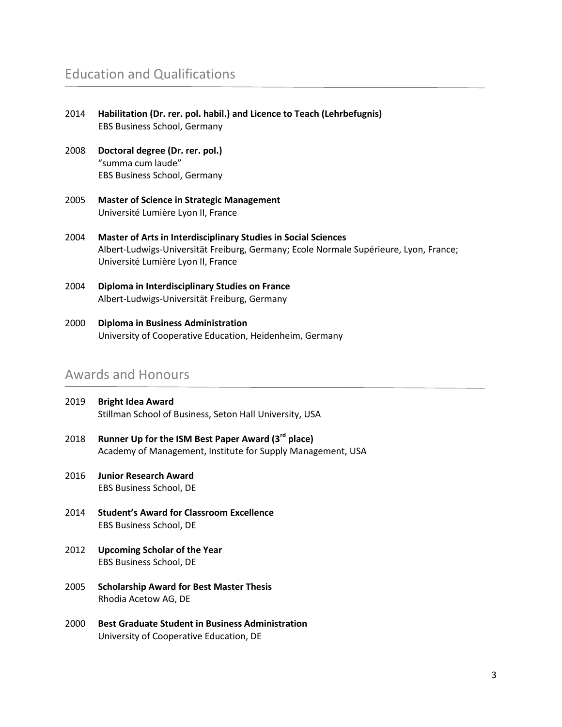### Education and Qualifications

| 2014 | Habilitation (Dr. rer. pol. habil.) and Licence to Teach (Lehrbefugnis)<br><b>EBS Business School, Germany</b>                                                                                |
|------|-----------------------------------------------------------------------------------------------------------------------------------------------------------------------------------------------|
| 2008 | Doctoral degree (Dr. rer. pol.)<br>"summa cum laude"<br>EBS Business School, Germany                                                                                                          |
| 2005 | <b>Master of Science in Strategic Management</b><br>Université Lumière Lyon II, France                                                                                                        |
| 2004 | Master of Arts in Interdisciplinary Studies in Social Sciences<br>Albert-Ludwigs-Universität Freiburg, Germany; Ecole Normale Supérieure, Lyon, France;<br>Université Lumière Lyon II, France |
| 2004 | Diploma in Interdisciplinary Studies on France<br>Albert-Ludwigs-Universität Freiburg, Germany                                                                                                |

2000 **Diploma in Business Administration** University of Cooperative Education, Heidenheim, Germany

#### Awards and Honours

- 2019 **Bright Idea Award** Stillman School of Business, Seton Hall University, USA
- 2018 **Runner Up for the ISM Best Paper Award (3rd place)** Academy of Management, Institute for Supply Management, USA
- 2016 **Junior Research Award** EBS Business School, DE
- 2014 **Student's Award for Classroom Excellence** EBS Business School, DE
- 2012 **Upcoming Scholar of the Year** EBS Business School, DE
- 2005 **Scholarship Award for Best Master Thesis** Rhodia Acetow AG, DE
- 2000 **Best Graduate Student in Business Administration** University of Cooperative Education, DE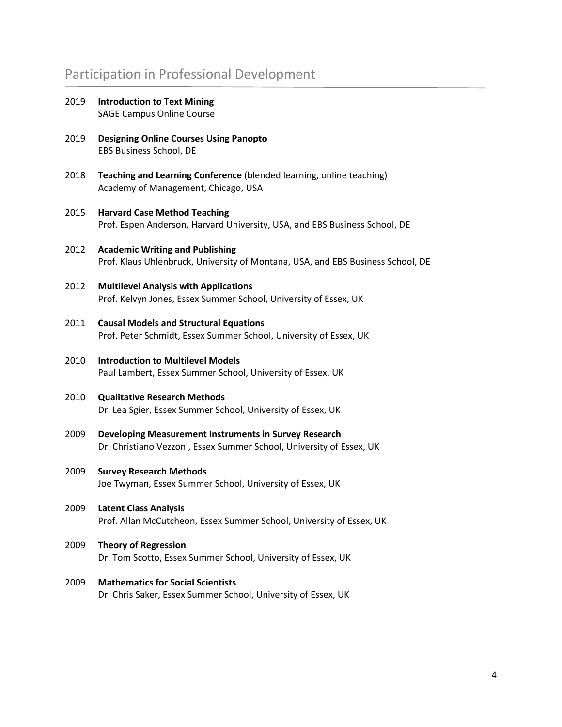### Participation in Professional Development

- 2019 **Introduction to Text Mining**  SAGE Campus Online Course
- 2019 **Designing Online Courses Using Panopto** EBS Business School, DE
- 2018 **Teaching and Learning Conference** (blended learning, online teaching) Academy of Management, Chicago, USA
- 2015 **Harvard Case Method Teaching** Prof. Espen Anderson, Harvard University, USA, and EBS Business School, DE
- 2012 **Academic Writing and Publishing** Prof. Klaus Uhlenbruck, University of Montana, USA, and EBS Business School, DE
- 2012 **Multilevel Analysis with Applications** Prof. Kelvyn Jones, Essex Summer School, University of Essex, UK
- 2011 **Causal Models and Structural Equations** Prof. Peter Schmidt, Essex Summer School, University of Essex, UK
- 2010 **Introduction to Multilevel Models** Paul Lambert, Essex Summer School, University of Essex, UK
- 2010 **Qualitative Research Methods** Dr. Lea Sgier, Essex Summer School, University of Essex, UK
- 2009 **Developing Measurement Instruments in Survey Research** Dr. Christiano Vezzoni, Essex Summer School, University of Essex, UK
- 2009 **Survey Research Methods** Joe Twyman, Essex Summer School, University of Essex, UK
- 2009 **Latent Class Analysis** Prof. Allan McCutcheon, Essex Summer School, University of Essex, UK
- 2009 **Theory of Regression** Dr. Tom Scotto, Essex Summer School, University of Essex, UK
- 2009 **Mathematics for Social Scientists** Dr. Chris Saker, Essex Summer School, University of Essex, UK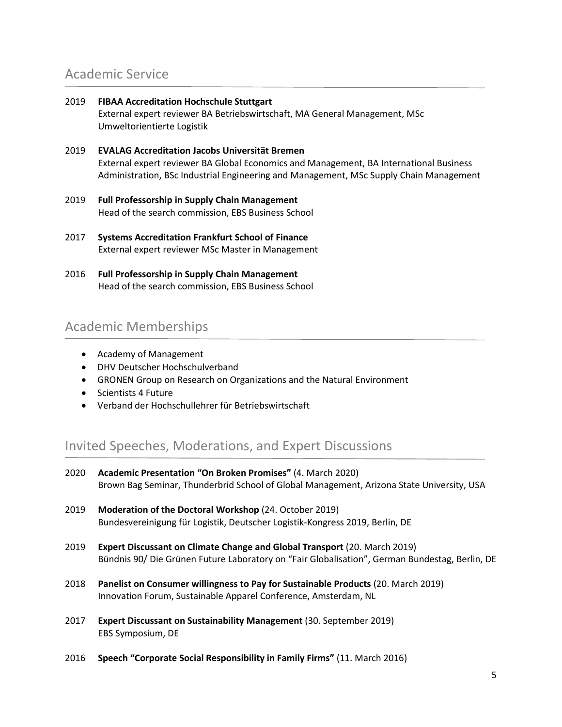### Academic Service

- 2019 **FIBAA Accreditation Hochschule Stuttgart** External expert reviewer BA Betriebswirtschaft, MA General Management, MSc Umweltorientierte Logistik
- 2019 **EVALAG Accreditation Jacobs Universität Bremen** External expert reviewer BA Global Economics and Management, BA International Business Administration, BSc Industrial Engineering and Management, MSc Supply Chain Management
- 2019 **Full Professorship in Supply Chain Management** Head of the search commission, EBS Business School
- 2017 **Systems Accreditation Frankfurt School of Finance** External expert reviewer MSc Master in Management
- 2016 **Full Professorship in Supply Chain Management** Head of the search commission, EBS Business School

### Academic Memberships

- Academy of Management
- DHV Deutscher Hochschulverband
- GRONEN Group on Research on Organizations and the Natural Environment
- Scientists 4 Future
- Verband der Hochschullehrer für Betriebswirtschaft

#### Invited Speeches, Moderations, and Expert Discussions

- 2020 **Academic Presentation "On Broken Promises"** (4. March 2020) Brown Bag Seminar, Thunderbrid School of Global Management, Arizona State University, USA 2019 **Moderation of the Doctoral Workshop** (24. October 2019) Bundesvereinigung für Logistik, Deutscher Logistik-Kongress 2019, Berlin, DE 2019 **Expert Discussant on Climate Change and Global Transport** (20. March 2019) Bündnis 90/ Die Grünen Future Laboratory on "Fair Globalisation", German Bundestag, Berlin, DE 2018 **Panelist on Consumer willingness to Pay for Sustainable Products** (20. March 2019) Innovation Forum, Sustainable Apparel Conference, Amsterdam, NL 2017 **Expert Discussant on Sustainability Management** (30. September 2019) EBS Symposium, DE
- 2016 **Speech "Corporate Social Responsibility in Family Firms"** (11. March 2016)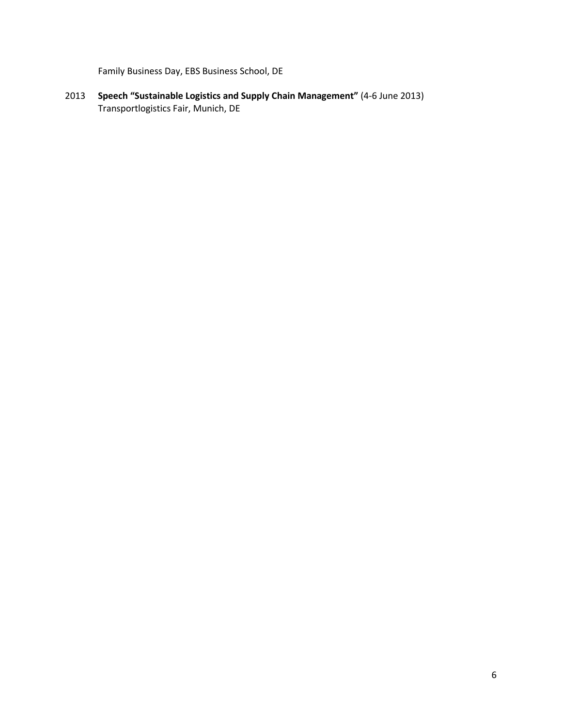Family Business Day, EBS Business School, DE

2013 **Speech "Sustainable Logistics and Supply Chain Management"** (4-6 June 2013) Transportlogistics Fair, Munich, DE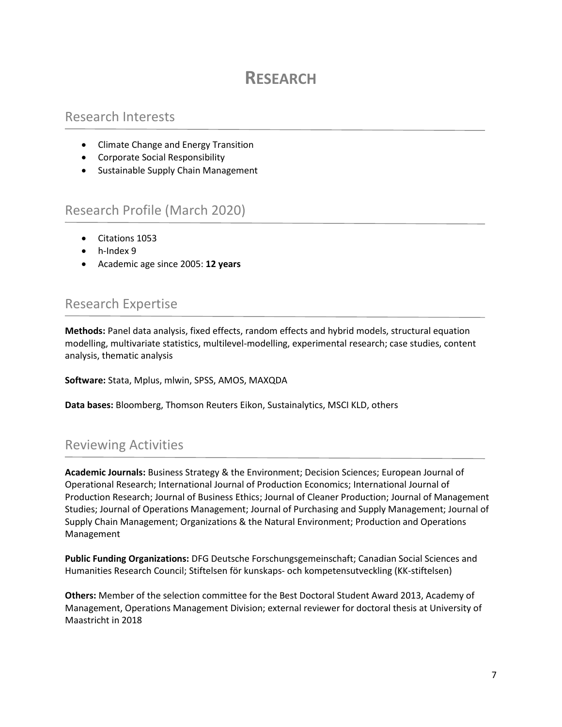## **RESEARCH**

#### Research Interests

- Climate Change and Energy Transition
- Corporate Social Responsibility
- Sustainable Supply Chain Management

#### Research Profile (March 2020)

- Citations 1053
- h-Index 9
- Academic age since 2005: **12 years**

#### Research Expertise

**Methods:** Panel data analysis, fixed effects, random effects and hybrid models, structural equation modelling, multivariate statistics, multilevel-modelling, experimental research; case studies, content analysis, thematic analysis

**Software:** Stata, Mplus, mlwin, SPSS, AMOS, MAXQDA

**Data bases:** Bloomberg, Thomson Reuters Eikon, Sustainalytics, MSCI KLD, others

### Reviewing Activities

**Academic Journals:** Business Strategy & the Environment; Decision Sciences; European Journal of Operational Research; International Journal of Production Economics; International Journal of Production Research; Journal of Business Ethics; Journal of Cleaner Production; Journal of Management Studies; Journal of Operations Management; Journal of Purchasing and Supply Management; Journal of Supply Chain Management; Organizations & the Natural Environment; Production and Operations Management

**Public Funding Organizations:** DFG Deutsche Forschungsgemeinschaft; Canadian Social Sciences and Humanities Research Council; Stiftelsen för kunskaps- och kompetensutveckling (KK-stiftelsen)

**Others:** Member of the selection committee for the Best Doctoral Student Award 2013, Academy of Management, Operations Management Division; external reviewer for doctoral thesis at University of Maastricht in 2018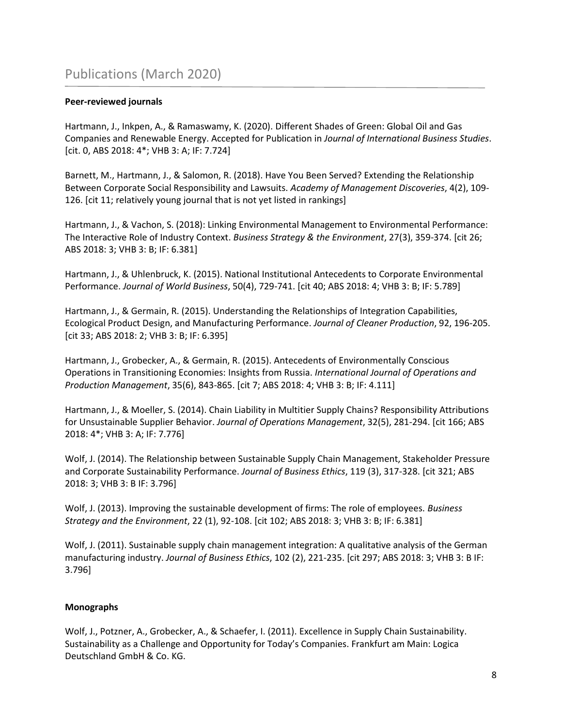#### **Peer-reviewed journals**

Hartmann, J., Inkpen, A., & Ramaswamy, K. (2020). Different Shades of Green: Global Oil and Gas Companies and Renewable Energy. Accepted for Publication in *Journal of International Business Studies*. [cit. 0, ABS 2018: 4\*; VHB 3: A; IF: 7.724]

Barnett, M., Hartmann, J., & Salomon, R. (2018). Have You Been Served? Extending the Relationship Between Corporate Social Responsibility and Lawsuits. *Academy of Management Discoveries*, 4(2), 109- 126. [cit 11; relatively young journal that is not yet listed in rankings]

Hartmann, J., & Vachon, S. (2018): Linking Environmental Management to Environmental Performance: The Interactive Role of Industry Context. *Business Strategy & the Environment*, 27(3), 359-374. [cit 26; ABS 2018: 3; VHB 3: B; IF: 6.381]

Hartmann, J., & Uhlenbruck, K. (2015). National Institutional Antecedents to Corporate Environmental Performance. *Journal of World Business*, 50(4), 729-741. [cit 40; ABS 2018: 4; VHB 3: B; IF: 5.789]

Hartmann, J., & Germain, R. (2015). Understanding the Relationships of Integration Capabilities, Ecological Product Design, and Manufacturing Performance. *Journal of Cleaner Production*, 92, 196-205. [cit 33; ABS 2018: 2; VHB 3: B; IF: 6.395]

Hartmann, J., Grobecker, A., & Germain, R. (2015). Antecedents of Environmentally Conscious Operations in Transitioning Economies: Insights from Russia. *International Journal of Operations and Production Management*, 35(6), 843-865. [cit 7; ABS 2018: 4; VHB 3: B; IF: 4.111]

Hartmann, J., & Moeller, S. (2014). Chain Liability in Multitier Supply Chains? Responsibility Attributions for Unsustainable Supplier Behavior. *Journal of Operations Management*, 32(5), 281-294. [cit 166; ABS 2018: 4\*; VHB 3: A; IF: 7.776]

Wolf, J. (2014). The Relationship between Sustainable Supply Chain Management, Stakeholder Pressure and Corporate Sustainability Performance. *Journal of Business Ethics*, 119 (3), 317-328. [cit 321; ABS 2018: 3; VHB 3: B IF: 3.796]

Wolf, J. (2013). Improving the sustainable development of firms: The role of employees. *Business Strategy and the Environment*, 22 (1), 92-108. [cit 102; ABS 2018: 3; VHB 3: B; IF: 6.381]

Wolf, J. (2011). Sustainable supply chain management integration: A qualitative analysis of the German manufacturing industry. *Journal of Business Ethics*, 102 (2), 221-235. [cit 297; ABS 2018: 3; VHB 3: B IF: 3.796]

#### **Monographs**

Wolf, J., Potzner, A., Grobecker, A., & Schaefer, I. (2011). Excellence in Supply Chain Sustainability. Sustainability as a Challenge and Opportunity for Today's Companies. Frankfurt am Main: Logica Deutschland GmbH & Co. KG.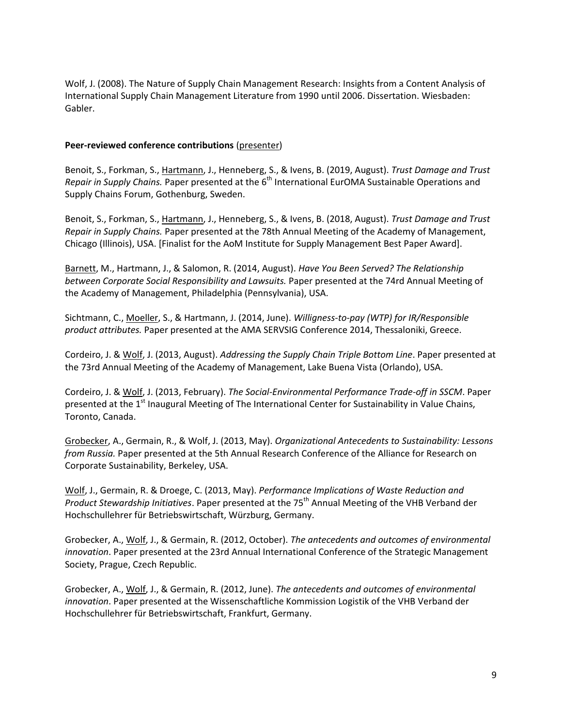Wolf, J. (2008). The Nature of Supply Chain Management Research: Insights from a Content Analysis of International Supply Chain Management Literature from 1990 until 2006. Dissertation. Wiesbaden: Gabler.

#### **Peer-reviewed conference contributions** (presenter)

Benoit, S., Forkman, S., Hartmann, J., Henneberg, S., & Ivens, B. (2019, August). *Trust Damage and Trust Repair in Supply Chains.* Paper presented at the 6<sup>th</sup> International EurOMA Sustainable Operations and Supply Chains Forum, Gothenburg, Sweden.

Benoit, S., Forkman, S., Hartmann, J., Henneberg, S., & Ivens, B. (2018, August). *Trust Damage and Trust Repair in Supply Chains.* Paper presented at the 78th Annual Meeting of the Academy of Management, Chicago (Illinois), USA. [Finalist for the AoM Institute for Supply Management Best Paper Award].

Barnett, M., Hartmann, J., & Salomon, R. (2014, August). *Have You Been Served? The Relationship between Corporate Social Responsibility and Lawsuits.* Paper presented at the 74rd Annual Meeting of the Academy of Management, Philadelphia (Pennsylvania), USA.

Sichtmann, C., Moeller, S., & Hartmann, J. (2014, June). *Willigness-to-pay (WTP) for IR/Responsible product attributes.* Paper presented at the AMA SERVSIG Conference 2014, Thessaloniki, Greece.

Cordeiro, J. & Wolf, J. (2013, August). *Addressing the Supply Chain Triple Bottom Line*. Paper presented at the 73rd Annual Meeting of the Academy of Management, Lake Buena Vista (Orlando), USA.

Cordeiro, J. & Wolf, J. (2013, February). *The Social-Environmental Performance Trade-off in SSCM*. Paper presented at the 1<sup>st</sup> Inaugural Meeting of The International Center for Sustainability in Value Chains, Toronto, Canada.

Grobecker, A., Germain, R., & Wolf, J. (2013, May). *Organizational Antecedents to Sustainability: Lessons from Russia.* Paper presented at the 5th Annual Research Conference of the Alliance for Research on Corporate Sustainability, Berkeley, USA.

Wolf, J., Germain, R. & Droege, C. (2013, May). *Performance Implications of Waste Reduction and*  Product Stewardship Initiatives. Paper presented at the 75<sup>th</sup> Annual Meeting of the VHB Verband der Hochschullehrer für Betriebswirtschaft, Würzburg, Germany.

Grobecker, A., Wolf, J., & Germain, R. (2012, October). *The antecedents and outcomes of environmental innovation*. Paper presented at the 23rd Annual International Conference of the Strategic Management Society, Prague, Czech Republic.

Grobecker, A., Wolf, J., & Germain, R. (2012, June). *The antecedents and outcomes of environmental innovation*. Paper presented at the Wissenschaftliche Kommission Logistik of the VHB Verband der Hochschullehrer für Betriebswirtschaft, Frankfurt, Germany.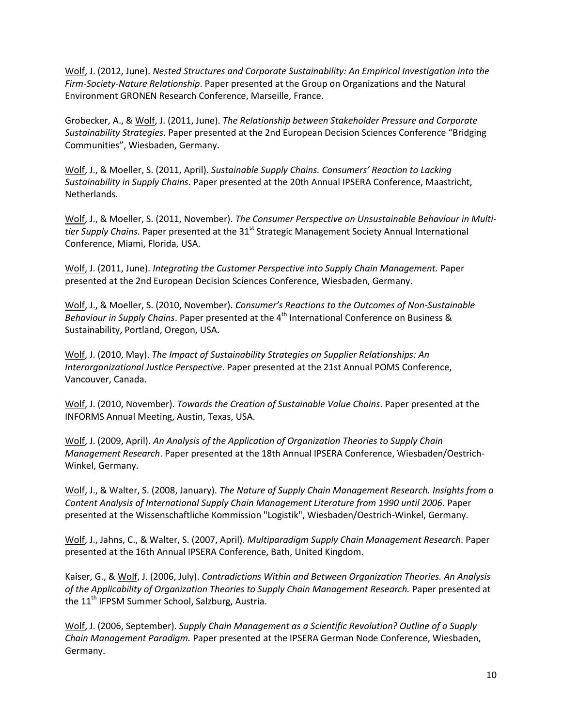Wolf, J. (2012, June). *Nested Structures and Corporate Sustainability: An Empirical Investigation into the Firm-Society-Nature Relationship*. Paper presented at the Group on Organizations and the Natural Environment GRONEN Research Conference, Marseille, France.

Grobecker, A., & Wolf, J. (2011, June). *The Relationship between Stakeholder Pressure and Corporate Sustainability Strategies*. Paper presented at the 2nd European Decision Sciences Conference "Bridging Communities", Wiesbaden, Germany.

Wolf, J., & Moeller, S. (2011, April). *Sustainable Supply Chains. Consumers' Reaction to Lacking Sustainability in Supply Chains*. Paper presented at the 20th Annual IPSERA Conference, Maastricht, Netherlands.

Wolf, J., & Moeller, S. (2011, November). *The Consumer Perspective on Unsustainable Behaviour in Multi*tier Supply Chains. Paper presented at the 31<sup>st</sup> Strategic Management Society Annual International Conference, Miami, Florida, USA.

Wolf, J. (2011, June). *Integrating the Customer Perspective into Supply Chain Management.* Paper presented at the 2nd European Decision Sciences Conference, Wiesbaden, Germany.

Wolf, J., & Moeller, S. (2010, November). *Consumer's Reactions to the Outcomes of Non-Sustainable*  Behaviour in Supply Chains. Paper presented at the 4<sup>th</sup> International Conference on Business & Sustainability, Portland, Oregon, USA.

Wolf, J. (2010, May). *The Impact of Sustainability Strategies on Supplier Relationships: An Interorganizational Justice Perspective*. Paper presented at the 21st Annual POMS Conference, Vancouver, Canada.

Wolf, J. (2010, November). *Towards the Creation of Sustainable Value Chains*. Paper presented at the INFORMS Annual Meeting, Austin, Texas, USA.

Wolf, J. (2009, April). *An Analysis of the Application of Organization Theories to Supply Chain Management Research*. Paper presented at the 18th Annual IPSERA Conference, Wiesbaden/Oestrich-Winkel, Germany.

Wolf, J., & Walter, S. (2008, January). *The Nature of Supply Chain Management Research. Insights from a Content Analysis of International Supply Chain Management Literature from 1990 until 2006*. Paper presented at the Wissenschaftliche Kommission "Logistik", Wiesbaden/Oestrich-Winkel, Germany.

Wolf, J., Jahns, C., & Walter, S. (2007, April). *Multiparadigm Supply Chain Management Research*. Paper presented at the 16th Annual IPSERA Conference, Bath, United Kingdom.

Kaiser, G., & Wolf, J. (2006, July). *Contradictions Within and Between Organization Theories. An Analysis of the Applicability of Organization Theories to Supply Chain Management Research.* Paper presented at the 11<sup>th</sup> IFPSM Summer School, Salzburg, Austria.

Wolf, J. (2006, September). *Supply Chain Management as a Scientific Revolution? Outline of a Supply Chain Management Paradigm.* Paper presented at the IPSERA German Node Conference, Wiesbaden, Germany.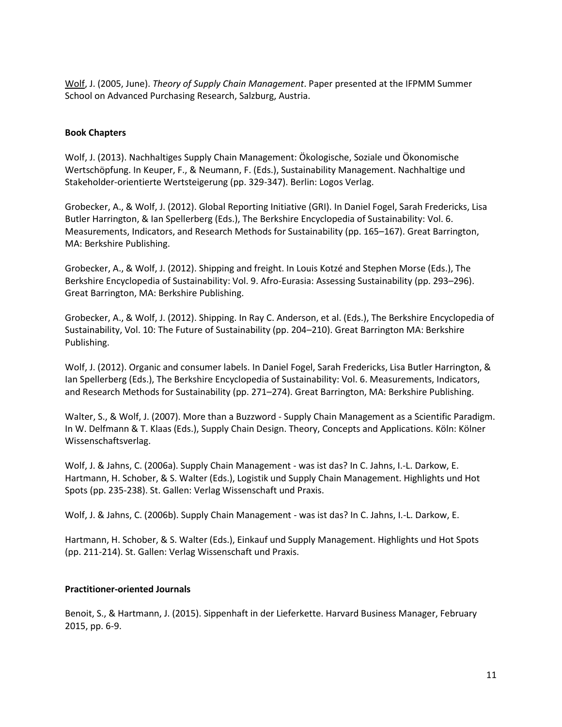Wolf, J. (2005, June). *Theory of Supply Chain Management*. Paper presented at the IFPMM Summer School on Advanced Purchasing Research, Salzburg, Austria.

#### **Book Chapters**

Wolf, J. (2013). Nachhaltiges Supply Chain Management: Ökologische, Soziale und Ökonomische Wertschöpfung. In Keuper, F., & Neumann, F. (Eds.), Sustainability Management. Nachhaltige und Stakeholder-orientierte Wertsteigerung (pp. 329-347). Berlin: Logos Verlag.

Grobecker, A., & Wolf, J. (2012). Global Reporting Initiative (GRI). In Daniel Fogel, Sarah Fredericks, Lisa Butler Harrington, & Ian Spellerberg (Eds.), The Berkshire Encyclopedia of Sustainability: Vol. 6. Measurements, Indicators, and Research Methods for Sustainability (pp. 165–167). Great Barrington, MA: Berkshire Publishing.

Grobecker, A., & Wolf, J. (2012). Shipping and freight. In Louis Kotzé and Stephen Morse (Eds.), The Berkshire Encyclopedia of Sustainability: Vol. 9. Afro-Eurasia: Assessing Sustainability (pp. 293–296). Great Barrington, MA: Berkshire Publishing.

Grobecker, A., & Wolf, J. (2012). Shipping. In Ray C. Anderson, et al. (Eds.), The Berkshire Encyclopedia of Sustainability, Vol. 10: The Future of Sustainability (pp. 204–210). Great Barrington MA: Berkshire Publishing.

Wolf, J. (2012). Organic and consumer labels. In Daniel Fogel, Sarah Fredericks, Lisa Butler Harrington, & Ian Spellerberg (Eds.), The Berkshire Encyclopedia of Sustainability: Vol. 6. Measurements, Indicators, and Research Methods for Sustainability (pp. 271–274). Great Barrington, MA: Berkshire Publishing.

Walter, S., & Wolf, J. (2007). More than a Buzzword - Supply Chain Management as a Scientific Paradigm. In W. Delfmann & T. Klaas (Eds.), Supply Chain Design. Theory, Concepts and Applications. Köln: Kölner Wissenschaftsverlag.

Wolf, J. & Jahns, C. (2006a). Supply Chain Management - was ist das? In C. Jahns, I.-L. Darkow, E. Hartmann, H. Schober, & S. Walter (Eds.), Logistik und Supply Chain Management. Highlights und Hot Spots (pp. 235-238). St. Gallen: Verlag Wissenschaft und Praxis.

Wolf, J. & Jahns, C. (2006b). Supply Chain Management - was ist das? In C. Jahns, I.-L. Darkow, E.

Hartmann, H. Schober, & S. Walter (Eds.), Einkauf und Supply Management. Highlights und Hot Spots (pp. 211-214). St. Gallen: Verlag Wissenschaft und Praxis.

#### **Practitioner-oriented Journals**

Benoit, S., & Hartmann, J. (2015). Sippenhaft in der Lieferkette. Harvard Business Manager, February 2015, pp. 6-9.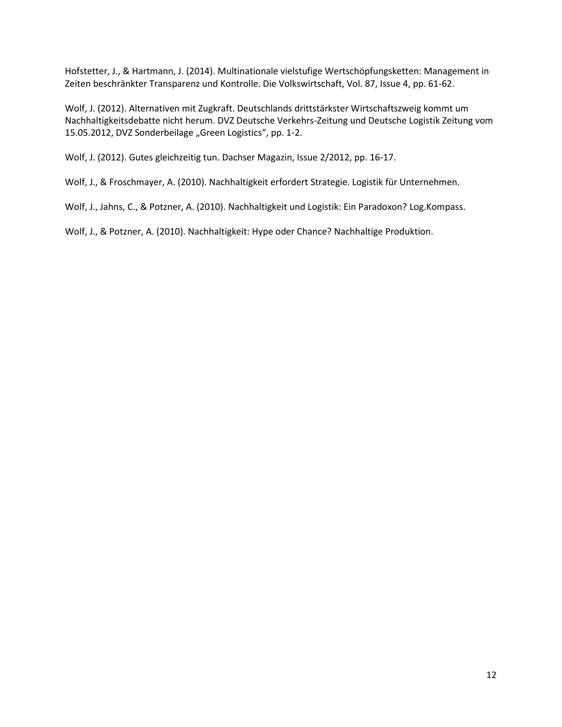Hofstetter, J., & Hartmann, J. (2014). Multinationale vielstufige Wertschöpfungsketten: Management in Zeiten beschränkter Transparenz und Kontrolle. Die Volkswirtschaft, Vol. 87, Issue 4, pp. 61-62.

Wolf, J. (2012). Alternativen mit Zugkraft. Deutschlands drittstärkster Wirtschaftszweig kommt um Nachhaltigkeitsdebatte nicht herum. DVZ Deutsche Verkehrs-Zeitung und Deutsche Logistik Zeitung vom 15.05.2012, DVZ Sonderbeilage "Green Logistics", pp. 1-2.

Wolf, J. (2012). Gutes gleichzeitig tun. Dachser Magazin, Issue 2/2012, pp. 16-17.

Wolf, J., & Froschmayer, A. (2010). Nachhaltigkeit erfordert Strategie. Logistik für Unternehmen.

Wolf, J., Jahns, C., & Potzner, A. (2010). Nachhaltigkeit und Logistik: Ein Paradoxon? Log.Kompass.

Wolf, J., & Potzner, A. (2010). Nachhaltigkeit: Hype oder Chance? Nachhaltige Produktion.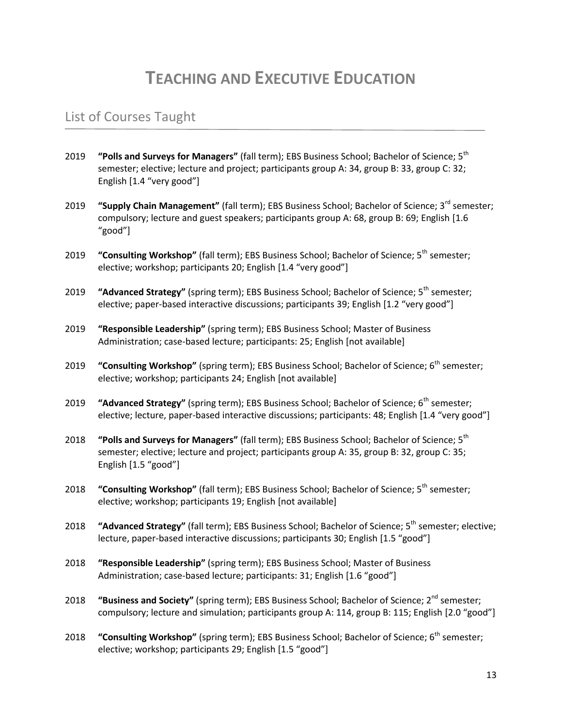# **TEACHING AND EXECUTIVE EDUCATION**

#### List of Courses Taught

- 2019 **"Polls and Surveys for Managers"** (fall term); EBS Business School; Bachelor of Science; 5th semester; elective; lecture and project; participants group A: 34, group B: 33, group C: 32; English [1.4 "very good"]
- 2019 **"Supply Chain Management"** (fall term); EBS Business School; Bachelor of Science; 3rd semester; compulsory; lecture and guest speakers; participants group A: 68, group B: 69; English [1.6 "good"]
- 2019 **"Consulting Workshop"** (fall term); EBS Business School; Bachelor of Science; 5th semester; elective; workshop; participants 20; English [1.4 "very good"]
- 2019 **"Advanced Strategy"** (spring term); EBS Business School; Bachelor of Science; 5<sup>th</sup> semester; elective; paper-based interactive discussions; participants 39; English [1.2 "very good"]
- 2019 **"Responsible Leadership"** (spring term); EBS Business School; Master of Business Administration; case-based lecture; participants: 25; English [not available]
- 2019 **"Consulting Workshop"** (spring term); EBS Business School; Bachelor of Science; 6<sup>th</sup> semester; elective; workshop; participants 24; English [not available]
- 2019 **"Advanced Strategy"** (spring term); EBS Business School; Bachelor of Science; 6<sup>th</sup> semester; elective; lecture, paper-based interactive discussions; participants: 48; English [1.4 "very good"]
- 2018 **"Polls and Surveys for Managers"** (fall term); EBS Business School; Bachelor of Science; 5th semester; elective; lecture and project; participants group A: 35, group B: 32, group C: 35; English [1.5 "good"]
- 2018 **"Consulting Workshop"** (fall term); EBS Business School; Bachelor of Science; 5<sup>th</sup> semester; elective; workshop; participants 19; English [not available]
- 2018 **"Advanced Strategy"** (fall term); EBS Business School; Bachelor of Science; 5<sup>th</sup> semester; elective; lecture, paper-based interactive discussions; participants 30; English [1.5 "good"]
- 2018 **"Responsible Leadership"** (spring term); EBS Business School; Master of Business Administration; case-based lecture; participants: 31; English [1.6 "good"]
- 2018 **"Business and Society"** (spring term); EBS Business School; Bachelor of Science; 2<sup>nd</sup> semester; compulsory; lecture and simulation; participants group A: 114, group B: 115; English [2.0 "good"]
- 2018 **"Consulting Workshop"** (spring term); EBS Business School; Bachelor of Science; 6<sup>th</sup> semester; elective; workshop; participants 29; English [1.5 "good"]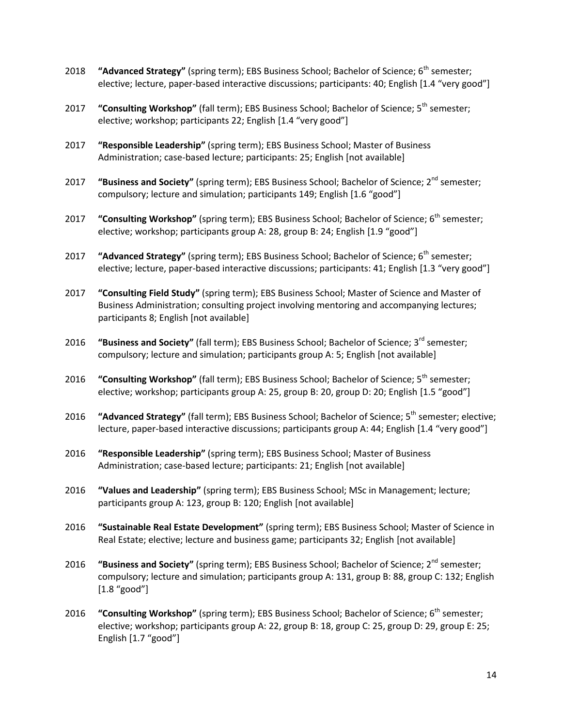- 2018 **"Advanced Strategy"** (spring term); EBS Business School; Bachelor of Science; 6<sup>th</sup> semester; elective; lecture, paper-based interactive discussions; participants: 40; English [1.4 "very good"]
- 2017 **"Consulting Workshop"** (fall term); EBS Business School; Bachelor of Science; 5th semester; elective; workshop; participants 22; English [1.4 "very good"]
- 2017 **"Responsible Leadership"** (spring term); EBS Business School; Master of Business Administration; case-based lecture; participants: 25; English [not available]
- 2017 **"Business and Society"** (spring term); EBS Business School; Bachelor of Science; 2nd semester; compulsory; lecture and simulation; participants 149; English [1.6 "good"]
- 2017 **"Consulting Workshop"** (spring term); EBS Business School; Bachelor of Science; 6<sup>th</sup> semester; elective; workshop; participants group A: 28, group B: 24; English [1.9 "good"]
- 2017 **"Advanced Strategy"** (spring term); EBS Business School; Bachelor of Science; 6<sup>th</sup> semester; elective; lecture, paper-based interactive discussions; participants: 41; English [1.3 "very good"]
- 2017 **"Consulting Field Study"** (spring term); EBS Business School; Master of Science and Master of Business Administration; consulting project involving mentoring and accompanying lectures; participants 8; English [not available]
- 2016 **"Business and Society"** (fall term); EBS Business School; Bachelor of Science; 3rd semester; compulsory; lecture and simulation; participants group A: 5; English [not available]
- 2016 **"Consulting Workshop"** (fall term); EBS Business School; Bachelor of Science; 5th semester; elective; workshop; participants group A: 25, group B: 20, group D: 20; English [1.5 "good"]
- 2016 **"Advanced Strategy"** (fall term); EBS Business School; Bachelor of Science; 5<sup>th</sup> semester; elective; lecture, paper-based interactive discussions; participants group A: 44; English [1.4 "very good"]
- 2016 **"Responsible Leadership"** (spring term); EBS Business School; Master of Business Administration; case-based lecture; participants: 21; English [not available]
- 2016 **"Values and Leadership"** (spring term); EBS Business School; MSc in Management; lecture; participants group A: 123, group B: 120; English [not available]
- 2016 **"Sustainable Real Estate Development"** (spring term); EBS Business School; Master of Science in Real Estate; elective; lecture and business game; participants 32; English [not available]
- 2016 **"Business and Society"** (spring term); EBS Business School; Bachelor of Science; 2nd semester; compulsory; lecture and simulation; participants group A: 131, group B: 88, group C: 132; English [1.8 "good"]
- 2016 **"Consulting Workshop"** (spring term); EBS Business School; Bachelor of Science; 6<sup>th</sup> semester; elective; workshop; participants group A: 22, group B: 18, group C: 25, group D: 29, group E: 25; English [1.7 "good"]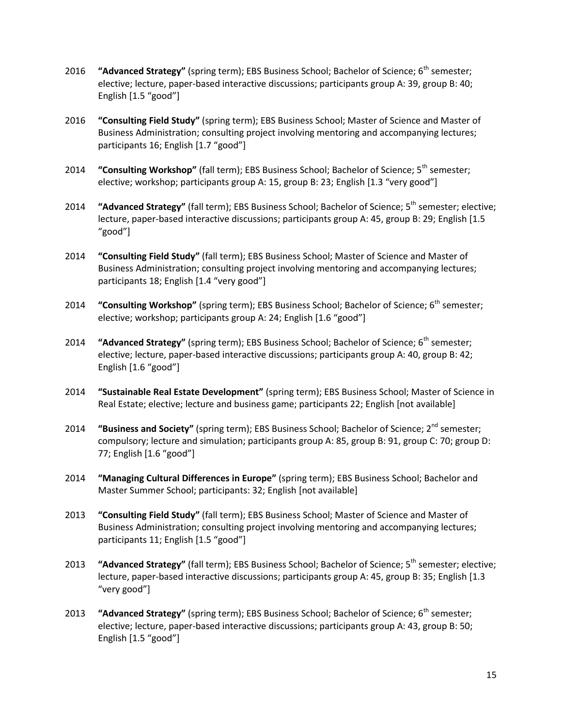- 2016 **"Advanced Strategy"** (spring term); EBS Business School; Bachelor of Science; 6<sup>th</sup> semester; elective; lecture, paper-based interactive discussions; participants group A: 39, group B: 40; English [1.5 "good"]
- 2016 **"Consulting Field Study"** (spring term); EBS Business School; Master of Science and Master of Business Administration; consulting project involving mentoring and accompanying lectures; participants 16; English [1.7 "good"]
- 2014 **"Consulting Workshop"** (fall term); EBS Business School; Bachelor of Science; 5th semester; elective; workshop; participants group A: 15, group B: 23; English [1.3 "very good"]
- 2014 **"Advanced Strategy"** (fall term); EBS Business School; Bachelor of Science; 5<sup>th</sup> semester; elective; lecture, paper-based interactive discussions; participants group A: 45, group B: 29; English [1.5 "good"]
- 2014 **"Consulting Field Study"** (fall term); EBS Business School; Master of Science and Master of Business Administration; consulting project involving mentoring and accompanying lectures; participants 18; English [1.4 "very good"]
- 2014 **"Consulting Workshop"** (spring term); EBS Business School; Bachelor of Science; 6<sup>th</sup> semester; elective; workshop; participants group A: 24; English [1.6 "good"]
- 2014 **"Advanced Strategy"** (spring term); EBS Business School; Bachelor of Science; 6<sup>th</sup> semester; elective; lecture, paper-based interactive discussions; participants group A: 40, group B: 42; English [1.6 "good"]
- 2014 **"Sustainable Real Estate Development"** (spring term); EBS Business School; Master of Science in Real Estate; elective; lecture and business game; participants 22; English [not available]
- 2014 **"Business and Society"** (spring term); EBS Business School; Bachelor of Science; 2nd semester; compulsory; lecture and simulation; participants group A: 85, group B: 91, group C: 70; group D: 77; English [1.6 "good"]
- 2014 **"Managing Cultural Differences in Europe"** (spring term); EBS Business School; Bachelor and Master Summer School; participants: 32; English [not available]
- 2013 **"Consulting Field Study"** (fall term); EBS Business School; Master of Science and Master of Business Administration; consulting project involving mentoring and accompanying lectures; participants 11; English [1.5 "good"]
- 2013 **"Advanced Strategy"** (fall term); EBS Business School; Bachelor of Science; 5<sup>th</sup> semester; elective; lecture, paper-based interactive discussions; participants group A: 45, group B: 35; English [1.3 "very good"]
- 2013 **"Advanced Strategy"** (spring term); EBS Business School; Bachelor of Science; 6<sup>th</sup> semester; elective; lecture, paper-based interactive discussions; participants group A: 43, group B: 50; English [1.5 "good"]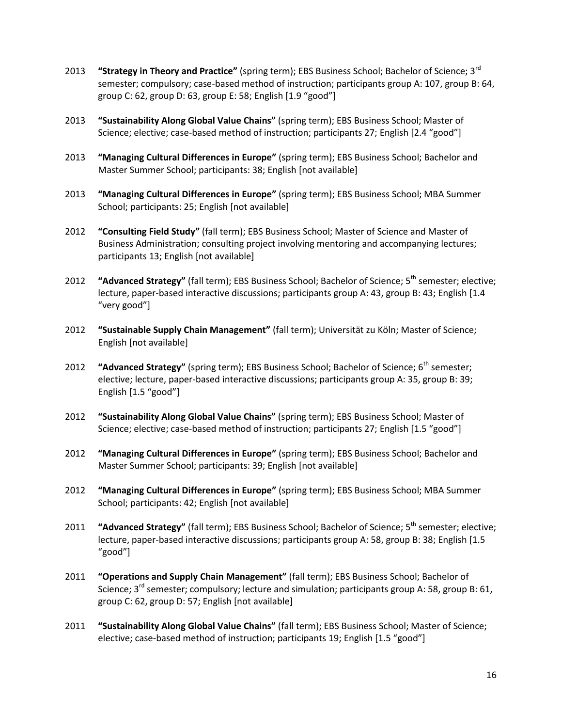- 2013 **"Strategy in Theory and Practice"** (spring term); EBS Business School; Bachelor of Science; 3rd semester; compulsory; case-based method of instruction; participants group A: 107, group B: 64, group C: 62, group D: 63, group E: 58; English [1.9 "good"]
- 2013 **"Sustainability Along Global Value Chains"** (spring term); EBS Business School; Master of Science; elective; case-based method of instruction; participants 27; English [2.4 "good"]
- 2013 **"Managing Cultural Differences in Europe"** (spring term); EBS Business School; Bachelor and Master Summer School; participants: 38; English [not available]
- 2013 **"Managing Cultural Differences in Europe"** (spring term); EBS Business School; MBA Summer School; participants: 25; English [not available]
- 2012 **"Consulting Field Study"** (fall term); EBS Business School; Master of Science and Master of Business Administration; consulting project involving mentoring and accompanying lectures; participants 13; English [not available]
- 2012 **"Advanced Strategy"** (fall term); EBS Business School; Bachelor of Science; 5<sup>th</sup> semester; elective; lecture, paper-based interactive discussions; participants group A: 43, group B: 43; English [1.4 "very good"]
- 2012 **"Sustainable Supply Chain Management"** (fall term); Universität zu Köln; Master of Science; English [not available]
- 2012 **"Advanced Strategy"** (spring term); EBS Business School; Bachelor of Science; 6<sup>th</sup> semester; elective; lecture, paper-based interactive discussions; participants group A: 35, group B: 39; English [1.5 "good"]
- 2012 **"Sustainability Along Global Value Chains"** (spring term); EBS Business School; Master of Science; elective; case-based method of instruction; participants 27; English [1.5 "good"]
- 2012 **"Managing Cultural Differences in Europe"** (spring term); EBS Business School; Bachelor and Master Summer School; participants: 39; English [not available]
- 2012 **"Managing Cultural Differences in Europe"** (spring term); EBS Business School; MBA Summer School; participants: 42; English [not available]
- 2011 **"Advanced Strategy"** (fall term); EBS Business School; Bachelor of Science; 5<sup>th</sup> semester; elective; lecture, paper-based interactive discussions; participants group A: 58, group B: 38; English [1.5 "good"]
- 2011 **"Operations and Supply Chain Management"** (fall term); EBS Business School; Bachelor of Science;  $3^{rd}$  semester; compulsory; lecture and simulation; participants group A: 58, group B: 61, group C: 62, group D: 57; English [not available]
- 2011 **"Sustainability Along Global Value Chains"** (fall term); EBS Business School; Master of Science; elective; case-based method of instruction; participants 19; English [1.5 "good"]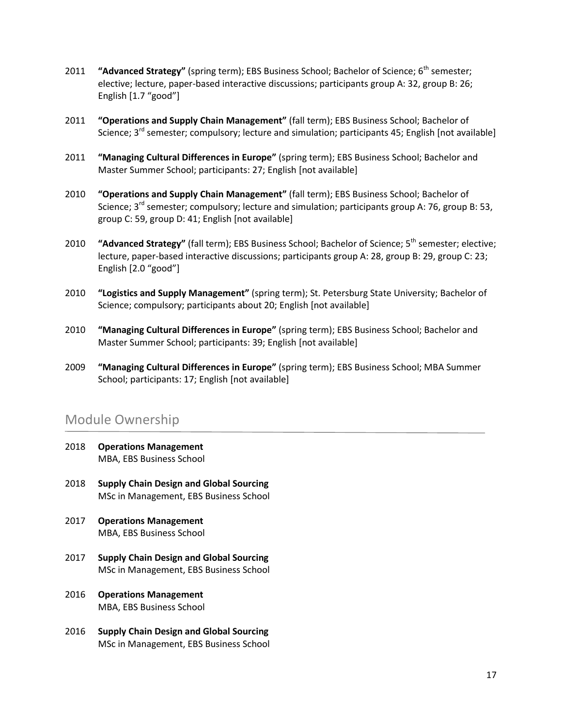- 2011 **"Advanced Strategy"** (spring term); EBS Business School; Bachelor of Science; 6<sup>th</sup> semester; elective; lecture, paper-based interactive discussions; participants group A: 32, group B: 26; English [1.7 "good"]
- 2011 **"Operations and Supply Chain Management"** (fall term); EBS Business School; Bachelor of Science; 3<sup>rd</sup> semester; compulsory; lecture and simulation; participants 45; English [not available]
- 2011 **"Managing Cultural Differences in Europe"** (spring term); EBS Business School; Bachelor and Master Summer School; participants: 27; English [not available]
- 2010 **"Operations and Supply Chain Management"** (fall term); EBS Business School; Bachelor of Science;  $3^{rd}$  semester; compulsory; lecture and simulation; participants group A: 76, group B: 53, group C: 59, group D: 41; English [not available]
- 2010 **"Advanced Strategy"** (fall term); EBS Business School; Bachelor of Science; 5<sup>th</sup> semester; elective; lecture, paper-based interactive discussions; participants group A: 28, group B: 29, group C: 23; English [2.0 "good"]
- 2010 **"Logistics and Supply Management"** (spring term); St. Petersburg State University; Bachelor of Science; compulsory; participants about 20; English [not available]
- 2010 **"Managing Cultural Differences in Europe"** (spring term); EBS Business School; Bachelor and Master Summer School; participants: 39; English [not available]
- 2009 **"Managing Cultural Differences in Europe"** (spring term); EBS Business School; MBA Summer School; participants: 17; English [not available]

#### Module Ownership

- 2018 **Operations Management** MBA, EBS Business School
- 2018 **Supply Chain Design and Global Sourcing** MSc in Management, EBS Business School
- 2017 **Operations Management** MBA, EBS Business School
- 2017 **Supply Chain Design and Global Sourcing** MSc in Management, EBS Business School
- 2016 **Operations Management** MBA, EBS Business School
- 2016 **Supply Chain Design and Global Sourcing** MSc in Management, EBS Business School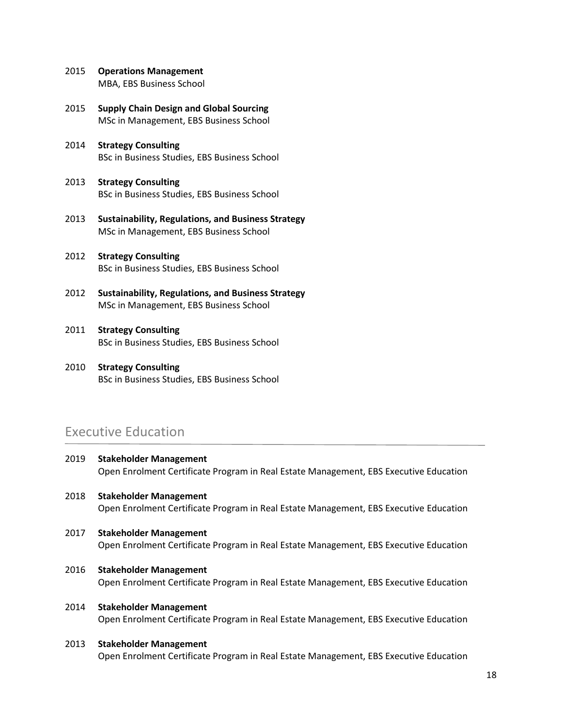- 2015 **Operations Management** MBA, EBS Business School
- 2015 **Supply Chain Design and Global Sourcing** MSc in Management, EBS Business School
- 2014 **Strategy Consulting** BSc in Business Studies, EBS Business School
- 2013 **Strategy Consulting** BSc in Business Studies, EBS Business School
- 2013 **Sustainability, Regulations, and Business Strategy** MSc in Management, EBS Business School
- 2012 **Strategy Consulting** BSc in Business Studies, EBS Business School
- 2012 **Sustainability, Regulations, and Business Strategy** MSc in Management, EBS Business School
- 2011 **Strategy Consulting** BSc in Business Studies, EBS Business School
- 2010 **Strategy Consulting** BSc in Business Studies, EBS Business School

#### Executive Education

- 2019 **Stakeholder Management** Open Enrolment Certificate Program in Real Estate Management, EBS Executive Education
- 2018 **Stakeholder Management** Open Enrolment Certificate Program in Real Estate Management, EBS Executive Education
- 2017 **Stakeholder Management** Open Enrolment Certificate Program in Real Estate Management, EBS Executive Education
- 2016 **Stakeholder Management** Open Enrolment Certificate Program in Real Estate Management, EBS Executive Education
- 2014 **Stakeholder Management** Open Enrolment Certificate Program in Real Estate Management, EBS Executive Education

#### 2013 **Stakeholder Management** Open Enrolment Certificate Program in Real Estate Management, EBS Executive Education